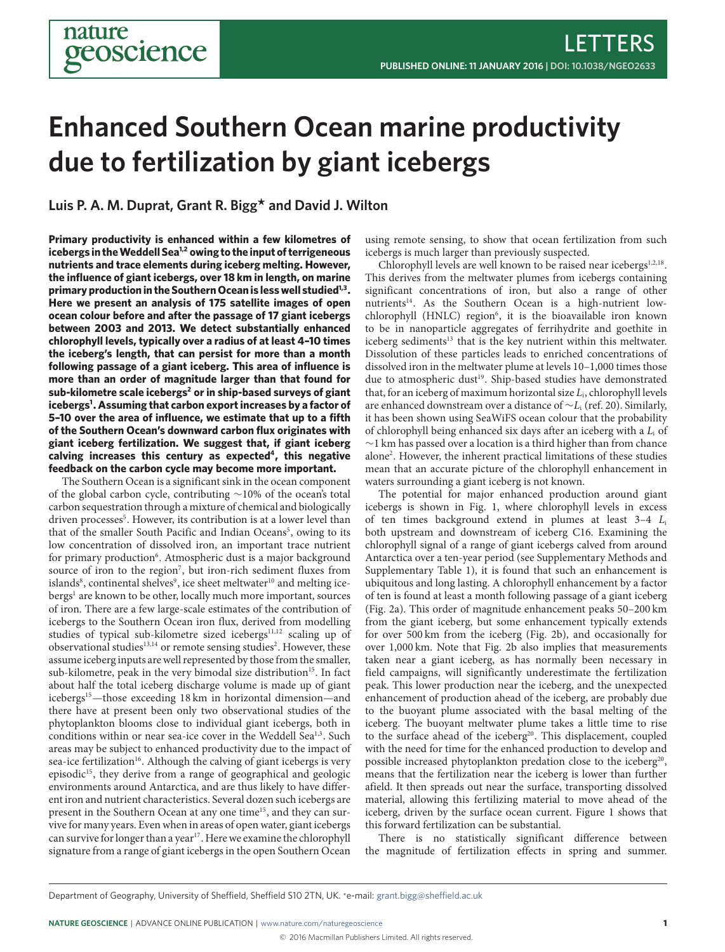# **Enhanced Southern Ocean marine productivity due to fertilization by giant icebergs**

**Luis P. A. M. Duprat, Grant R. Bigg\* and David J. Wilton**

**Primary productivity is enhanced within a few kilometres of icebergs in theWeddell Sea[1,](#page-2-0)[2](#page-2-1) owing to the input of terrigeneous nutrients and trace elements during iceberg melting. However, the influence of giant icebergs, over 18 km in length, on marine primary production in the Southern Ocean is less well studied[1,](#page-2-0)[3](#page-2-2) . Here we present an analysis of 175 satellite images of open ocean colour before and after the passage of 17 giant icebergs between 2003 and 2013. We detect substantially enhanced chlorophyll levels, typically over a radius of at least 4–10 times the iceberg's length, that can persist for more than a month following passage of a giant iceberg. This area of influence is more than an order of magnitude larger than that found for sub-kilometre scale icebergs[2](#page-2-1) or in ship-based surveys of giant icebergs[1](#page-2-0) . Assuming that carbon export increases by a factor of 5–10 over the area of influence, we estimate that up to a fifth of the Southern Ocean's downward carbon flux originates with giant iceberg fertilization. We suggest that, if giant iceberg calving increases this century as expected[4](#page-2-3) , this negative feedback on the carbon cycle may become more important.**

The Southern Ocean is a significant sink in the ocean component of the global carbon cycle, contributing ∼10% of the ocean's total carbon sequestration through a mixture of chemical and biologically driven processes<sup>[5](#page-2-4)</sup>. However, its contribution is at a lower level than that of the smaller South Pacific and Indian Oceans<sup>[5](#page-2-4)</sup>, owing to its low concentration of dissolved iron, an important trace nutrient for primary production<sup>[6](#page-2-5)</sup>. Atmospheric dust is a major background source of iron to the region<sup>[7](#page-2-6)</sup>, but iron-rich sediment fluxes from islands $^8$  $^8$ , continental shelves $^9$  $^9$ , ice sheet meltwater $^{10}$  $^{10}$  $^{10}$  and melting ice-bergs<sup>[1](#page-2-0)</sup> are known to be other, locally much more important, sources of iron. There are a few large-scale estimates of the contribution of icebergs to the Southern Ocean iron flux, derived from modelling studies of typical sub-kilometre sized icebergs<sup>[11,](#page-2-10)[12](#page-2-11)</sup> scaling up of observational studies $^{13,14}$  $^{13,14}$  $^{13,14}$  $^{13,14}$  or remote sensing studies<sup>[2](#page-2-1)</sup>. However, these assume iceberg inputs are well represented by those from the smaller, sub-kilometre, peak in the very bimodal size distribution<sup>[15](#page-2-14)</sup>. In fact about half the total iceberg discharge volume is made up of giant icebergs[15](#page-2-14)—those exceeding 18 km in horizontal dimension—and there have at present been only two observational studies of the phytoplankton blooms close to individual giant icebergs, both in conditions within or near sea-ice cover in the Weddell Sea<sup>[1](#page-2-0)[,3](#page-2-2)</sup>. Such areas may be subject to enhanced productivity due to the impact of sea-ice fertilization<sup>[16](#page-2-15)</sup>. Although the calving of giant icebergs is very episodic<sup>[15](#page-2-14)</sup>, they derive from a range of geographical and geologic environments around Antarctica, and are thus likely to have different iron and nutrient characteristics. Several dozen such icebergs are present in the Southern Ocean at any one time<sup>[15](#page-2-14)</sup>, and they can survive for many years. Even when in areas of open water, giant icebergs can survive for longer than a year<sup>[17](#page-2-16)</sup>. Here we examine the chlorophyll signature from a range of giant icebergs in the open Southern Ocean

using remote sensing, to show that ocean fertilization from such icebergs is much larger than previously suspected.

Chlorophyll levels are well known to be raised near icebergs<sup>[1](#page-2-0)[,2,](#page-2-1)[18](#page-2-17)</sup>. This derives from the meltwater plumes from icebergs containing significant concentrations of iron, but also a range of other nutrients<sup>[14](#page-2-13)</sup>. As the Southern Ocean is a high-nutrient low-chlorophyll (HNLC) region<sup>[6](#page-2-5)</sup>, it is the bioavailable iron known to be in nanoparticle aggregates of ferrihydrite and goethite in iceberg sediments<sup>[13](#page-2-12)</sup> that is the key nutrient within this meltwater. Dissolution of these particles leads to enriched concentrations of dissolved iron in the meltwater plume at levels 10–1,000 times those due to atmospheric dust<sup>[19](#page-2-18)</sup>. Ship-based studies have demonstrated that, for an iceberg of maximum horizontal size  $L_i$ , chlorophyll levels are enhanced downstream over a distance of  $\sim L_i$  (ref. [20\)](#page-2-19). Similarly, it has been shown using SeaWiFS ocean colour that the probability of chlorophyll being enhanced six days after an iceberg with a  $L_i$  of ∼1 km has passed over a location is a third higher than from chance alone[2](#page-2-1) . However, the inherent practical limitations of these studies mean that an accurate picture of the chlorophyll enhancement in waters surrounding a giant iceberg is not known.

The potential for major enhanced production around giant icebergs is shown in Fig. [1,](#page-1-0) where chlorophyll levels in excess of ten times background extend in plumes at least  $3-4$  L<sub>i</sub> both upstream and downstream of iceberg C16. Examining the chlorophyll signal of a range of giant icebergs calved from around Antarctica over a ten-year period (see Supplementary Methods and Supplementary Table 1), it is found that such an enhancement is ubiquitous and long lasting. A chlorophyll enhancement by a factor of ten is found at least a month following passage of a giant iceberg (Fig. [2a](#page-1-1)). This order of magnitude enhancement peaks 50–200 km from the giant iceberg, but some enhancement typically extends for over 500 km from the iceberg (Fig. [2b](#page-1-1)), and occasionally for over 1,000 km. Note that Fig. [2b](#page-1-1) also implies that measurements taken near a giant iceberg, as has normally been necessary in field campaigns, will significantly underestimate the fertilization peak. This lower production near the iceberg, and the unexpected enhancement of production ahead of the iceberg, are probably due to the buoyant plume associated with the basal melting of the iceberg. The buoyant meltwater plume takes a little time to rise to the surface ahead of the iceberg<sup>[20](#page-2-19)</sup>. This displacement, coupled with the need for time for the enhanced production to develop and possible increased phytoplankton predation close to the iceberg<sup>[20](#page-2-19)</sup>, means that the fertilization near the iceberg is lower than further afield. It then spreads out near the surface, transporting dissolved material, allowing this fertilizing material to move ahead of the iceberg, driven by the surface ocean current. Figure [1](#page-1-0) shows that this forward fertilization can be substantial.

There is no statistically significant difference between the magnitude of fertilization effects in spring and summer.

Department of Geography, University of Sheffield, Sheffield S10 2TN, UK. \*e-mail: grant.bigg@sheffield.ac.uk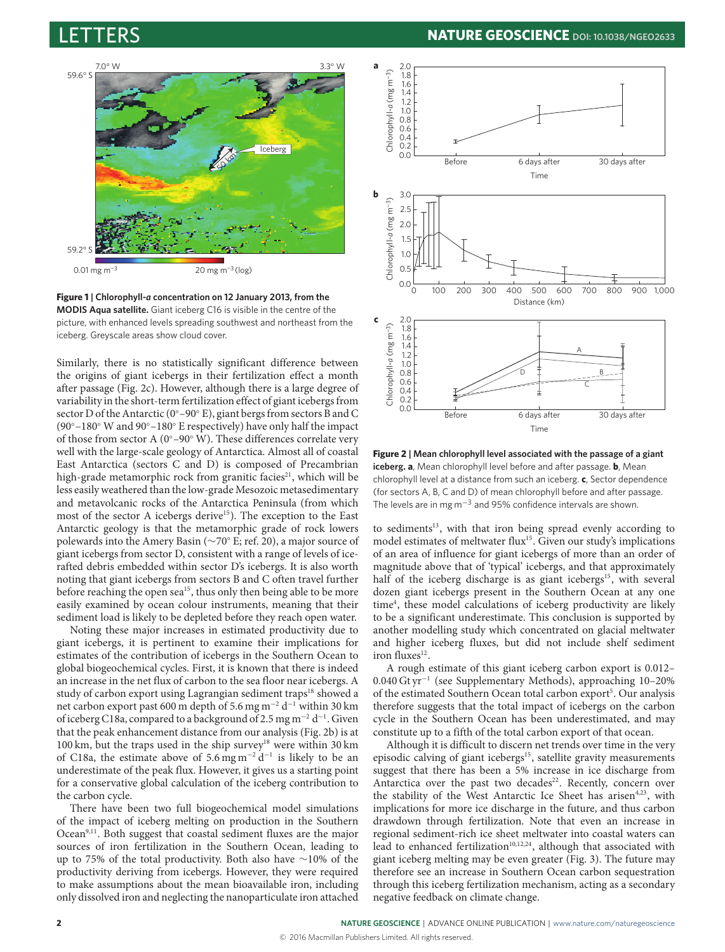

<span id="page-1-0"></span>

Similarly, there is no statistically significant difference between the origins of giant icebergs in their fertilization effect a month after passage (Fig. [2c](#page-1-1)). However, although there is a large degree of variability in the short-term fertilization effect of giant icebergs from sector D of the Antarctic (0◦–90◦ E), giant bergs from sectors B and C (90◦–180◦ W and 90◦–180◦ E respectively) have only half the impact of those from sector A (0◦–90◦ W). These differences correlate very well with the large-scale geology of Antarctica. Almost all of coastal East Antarctica (sectors C and D) is composed of Precambrian high-grade metamorphic rock from granitic facies<sup>[21](#page-2-20)</sup>, which will be less easily weathered than the low-grade Mesozoic metasedimentary and metavolcanic rocks of the Antarctica Peninsula (from which most of the sector A icebergs derive<sup>[15](#page-2-14)</sup>). The exception to the East Antarctic geology is that the metamorphic grade of rock lowers polewards into the Amery Basin (∼70◦ E; ref. [20\)](#page-2-19), a major source of giant icebergs from sector D, consistent with a range of levels of icerafted debris embedded within sector D's icebergs. It is also worth noting that giant icebergs from sectors B and C often travel further before reaching the open sea<sup>[15](#page-2-14)</sup>, thus only then being able to be more easily examined by ocean colour instruments, meaning that their sediment load is likely to be depleted before they reach open water.

Noting these major increases in estimated productivity due to giant icebergs, it is pertinent to examine their implications for estimates of the contribution of icebergs in the Southern Ocean to global biogeochemical cycles. First, it is known that there is indeed an increase in the net flux of carbon to the sea floor near icebergs. A study of carbon export using Lagrangian sediment traps<sup>[18](#page-2-17)</sup> showed a net carbon export past 600 m depth of 5.6 mg m<sup>−2</sup> d<sup>−1</sup> within 30 km of iceberg C18a, compared to a background of 2.5 mg m<sup>-2</sup> d<sup>-1</sup>. Given that the peak enhancement distance from our analysis (Fig. [2b](#page-1-1)) is at 100 km, but the traps used in the ship survey<sup>[18](#page-2-17)</sup> were within 30 km of C18a, the estimate above of 5.6 mg m<sup>-2</sup> d<sup>-1</sup> is likely to be an underestimate of the peak flux. However, it gives us a starting point for a conservative global calculation of the iceberg contribution to the carbon cycle.

There have been two full biogeochemical model simulations of the impact of iceberg melting on production in the Southern Ocean<sup>[9](#page-2-8)[,11](#page-2-10)</sup>. Both suggest that coastal sediment fluxes are the major sources of iron fertilization in the Southern Ocean, leading to up to 75% of the total productivity. Both also have ∼10% of the productivity deriving from icebergs. However, they were required to make assumptions about the mean bioavailable iron, including only dissolved iron and neglecting the nanoparticulate iron attached



<span id="page-1-1"></span>**Figure 2 | Mean chlorophyll level associated with the passage of a giant iceberg. a**, Mean chlorophyll level before and after passage. **b**, Mean chlorophyll level at a distance from such an iceberg. **c**, Sector dependence (for sectors A, B, C and D) of mean chlorophyll before and after passage. The levels are in mg  $m^{-3}$  and 95% confidence intervals are shown.

to sediments<sup>[13](#page-2-12)</sup>, with that iron being spread evenly according to model estimates of meltwater flux<sup>[15](#page-2-14)</sup>. Given our study's implications of an area of influence for giant icebergs of more than an order of magnitude above that of 'typical' icebergs, and that approximately half of the iceberg discharge is as giant icebergs<sup>[15](#page-2-14)</sup>, with several dozen giant icebergs present in the Southern Ocean at any one time<sup>[4](#page-2-3)</sup>, these model calculations of iceberg productivity are likely to be a significant underestimate. This conclusion is supported by another modelling study which concentrated on glacial meltwater and higher iceberg fluxes, but did not include shelf sediment iron fluxes $^{12}$  $^{12}$  $^{12}$ .

A rough estimate of this giant iceberg carbon export is 0.012– 0.040 Gt yr<sup>−</sup><sup>1</sup> (see Supplementary Methods), approaching 10–20% of the estimated Southern Ocean total carbon export<sup>[5](#page-2-4)</sup>. Our analysis therefore suggests that the total impact of icebergs on the carbon cycle in the Southern Ocean has been underestimated, and may constitute up to a fifth of the total carbon export of that ocean.

Although it is difficult to discern net trends over time in the very episodic calving of giant icebergs<sup>[15](#page-2-14)</sup>, satellite gravity measurements suggest that there has been a 5% increase in ice discharge from Antarctica over the past two decades $22$ . Recently, concern over the stability of the West Antarctic Ice Sheet has arisen<sup>[4,](#page-2-3)[23](#page-2-22)</sup>, with implications for more ice discharge in the future, and thus carbon drawdown through fertilization. Note that even an increase in regional sediment-rich ice sheet meltwater into coastal waters can lead to enhanced fertilization<sup>[10,](#page-2-9)[12](#page-2-11)[,24](#page-2-23)</sup>, although that associated with giant iceberg melting may be even greater (Fig. [3\)](#page-2-24). The future may therefore see an increase in Southern Ocean carbon sequestration through this iceberg fertilization mechanism, acting as a secondary negative feedback on climate change.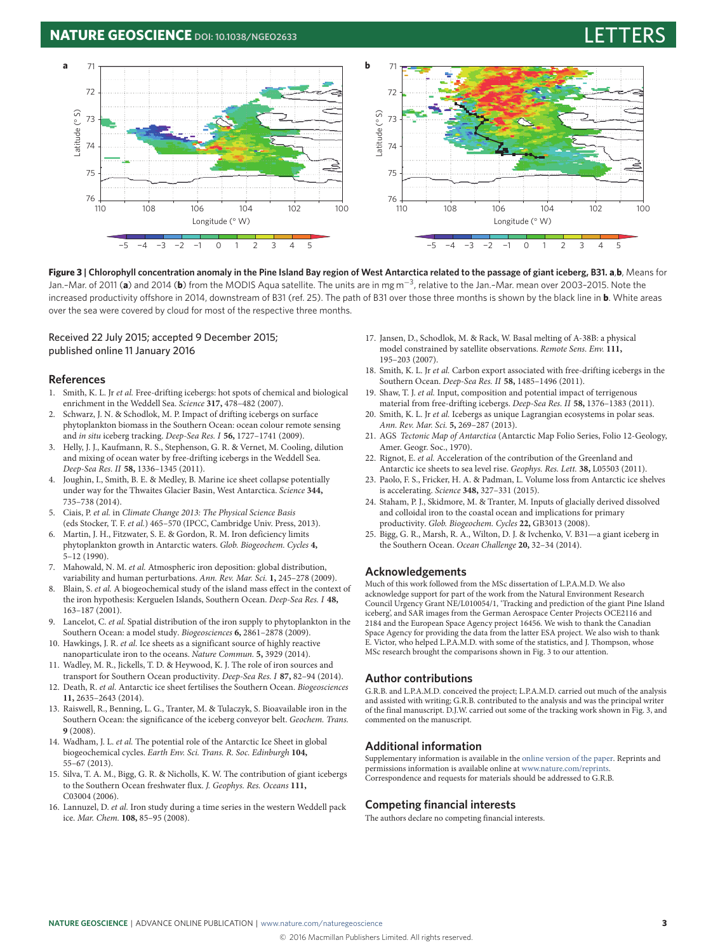#### **NATURE GEOSCIENCE** DOI: [10.1038/NGEO2633](http://dx.doi.org/10.1038/ngeo2633)



**Figure 3 | Chlorophyll concentration anomaly in the Pine Island Bay region of West Antarctica related to the passage of giant iceberg, B31. a**,**b**, Means for Jan.–Mar. of 2011 (**a**) and 2014 (**b**) from the MODIS Aqua satellite. The units are in mg m−<sup>3</sup> , relative to the Jan.–Mar. mean over 2003–2015. Note the increased productivity offshore in 2014, downstream of B31 (ref. 25). The path of B31 over those three months is shown by the black line in **b**. White areas over the sea were covered by cloud for most of the respective three months.

#### Received 22 July 2015; accepted 9 December 2015; published online 11 January 2016

#### **References**

- <span id="page-2-0"></span>1. Smith, K. L. Jr et al. Free-drifting icebergs: hot spots of chemical and biological enrichment in the Weddell Sea. Science **317,** 478–482 (2007).
- <span id="page-2-1"></span>Schwarz, J. N. & Schodlok, M. P. Impact of drifting icebergs on surface phytoplankton biomass in the Southern Ocean: ocean colour remote sensing and in situ iceberg tracking. Deep-Sea Res. I **56,** 1727–1741 (2009).
- <span id="page-2-2"></span>3. Helly, J. J., Kaufmann, R. S., Stephenson, G. R. & Vernet, M. Cooling, dilution and mixing of ocean water by free-drifting icebergs in the Weddell Sea. Deep-Sea Res. II **58,** 1336–1345 (2011).
- <span id="page-2-3"></span>4. Joughin, I., Smith, B. E. & Medley, B. Marine ice sheet collapse potentially under way for the Thwaites Glacier Basin, West Antarctica. Science **344,** 735–738 (2014).
- <span id="page-2-4"></span>5. Ciais, P. et al. in Climate Change 2013: The Physical Science Basis (eds Stocker, T. F. et al.) 465–570 (IPCC, Cambridge Univ. Press, 2013).
- <span id="page-2-5"></span>6. Martin, J. H., Fitzwater, S. E. & Gordon, R. M. Iron deficiency limits phytoplankton growth in Antarctic waters. Glob. Biogeochem. Cycles **4,** 5–12 (1990).
- <span id="page-2-6"></span>7. Mahowald, N. M. et al. Atmospheric iron deposition: global distribution, variability and human perturbations. Ann. Rev. Mar. Sci. **1,** 245–278 (2009).
- <span id="page-2-7"></span>8. Blain, S. et al. A biogeochemical study of the island mass effect in the context of the iron hypothesis: Kerguelen Islands, Southern Ocean. Deep-Sea Res. I **48,** 163–187 (2001).
- <span id="page-2-8"></span>9. Lancelot, C. et al. Spatial distribution of the iron supply to phytoplankton in the Southern Ocean: a model study. Biogeosciences **6,** 2861–2878 (2009).
- <span id="page-2-9"></span>10. Hawkings, J. R. et al. Ice sheets as a significant source of highly reactive nanoparticulate iron to the oceans. Nature Commun. **5,** 3929 (2014).
- <span id="page-2-10"></span>11. Wadley, M. R., Jickells, T. D. & Heywood, K. J. The role of iron sources and transport for Southern Ocean productivity. Deep-Sea Res. I **87,** 82–94 (2014).
- <span id="page-2-11"></span>12. Death, R. et al. Antarctic ice sheet fertilises the Southern Ocean. Biogeosciences **11,** 2635–2643 (2014).
- <span id="page-2-12"></span>13. Raiswell, R., Benning, L. G., Tranter, M. & Tulaczyk, S. Bioavailable iron in the Southern Ocean: the significance of the iceberg conveyor belt. Geochem. Trans. **9** (2008).
- <span id="page-2-13"></span>14. Wadham, J. L. et al. The potential role of the Antarctic Ice Sheet in global biogeochemical cycles. Earth Env. Sci. Trans. R. Soc. Edinburgh **104,** 55–67 (2013).
- <span id="page-2-14"></span>15. Silva, T. A. M., Bigg, G. R. & Nicholls, K. W. The contribution of giant icebergs to the Southern Ocean freshwater flux. J. Geophys. Res. Oceans **111,** C03004 (2006).
- <span id="page-2-15"></span>16. Lannuzel, D. et al. Iron study during a time series in the western Weddell pack ice. Mar. Chem. **108,** 85–95 (2008).
- <span id="page-2-24"></span><span id="page-2-16"></span>17. Jansen, D., Schodlok, M. & Rack, W. Basal melting of A-38B: a physical model constrained by satellite observations. Remote Sens. Env. **111,** 195–203 (2007).
- <span id="page-2-17"></span>18. Smith, K. L. Jr et al. Carbon export associated with free-drifting icebergs in the Southern Ocean. Deep-Sea Res. II **58,** 1485–1496 (2011).
- <span id="page-2-18"></span>19. Shaw, T. J. et al. Input, composition and potential impact of terrigenous material from free-drifting icebergs. Deep-Sea Res. II **58,** 1376–1383 (2011).
- <span id="page-2-19"></span>20. Smith, K. L. Jr et al. Icebergs as unique Lagrangian ecosystems in polar seas. Ann. Rev. Mar. Sci. **5,** 269–287 (2013).
- <span id="page-2-20"></span>21. AGS Tectonic Map of Antarctica (Antarctic Map Folio Series, Folio 12-Geology, Amer. Geogr. Soc., 1970).
- <span id="page-2-21"></span>22. Rignot, E. et al. Acceleration of the contribution of the Greenland and Antarctic ice sheets to sea level rise. Geophys. Res. Lett. **38,** L05503 (2011).
- <span id="page-2-22"></span>23. Paolo, F. S., Fricker, H. A. & Padman, L. Volume loss from Antarctic ice shelves is accelerating. Science **348,** 327–331 (2015).
- <span id="page-2-23"></span>24. Staham, P. J., Skidmore, M. & Tranter, M. Inputs of glacially derived dissolved and colloidal iron to the coastal ocean and implications for primary productivity. Glob. Biogeochem. Cycles **22,** GB3013 (2008).
- 25. Bigg, G. R., Marsh, R. A., Wilton, D. J. & Ivchenko, V. B31—a giant iceberg in the Southern Ocean. Ocean Challenge **20,** 32–34 (2014).

#### **Acknowledgements**

Much of this work followed from the MSc dissertation of L.P.A.M.D. We also acknowledge support for part of the work from the Natural Environment Research Council Urgency Grant NE/L010054/1, 'Tracking and prediction of the giant Pine Island iceberg', and SAR images from the German Aerospace Center Projects OCE2116 and 2184 and the European Space Agency project 16456. We wish to thank the Canadian Space Agency for providing the data from the latter ESA project. We also wish to thank E. Victor, who helped L.P.A.M.D. with some of the statistics, and J. Thompson, whose MSc research brought the comparisons shown in Fig. [3](#page-2-24) to our attention.

#### **Author contributions**

G.R.B. and L.P.A.M.D. conceived the project; L.P.A.M.D. carried out much of the analysis and assisted with writing; G.R.B. contributed to the analysis and was the principal writer of the final manuscript. D.J.W. carried out some of the tracking work shown in Fig. [3,](#page-2-24) and commented on the manuscript.

#### **Additional information**

Supplementary information is available in the [online version of the paper.](http://dx.doi.org/10.1038/ngeo2633) Reprints and permissions information is available online at [www.nature.com/reprints.](http://www.nature.com/reprints) Correspondence and requests for materials should be addressed to G.R.B.

#### **Competing financial interests**

The authors declare no competing financial interests.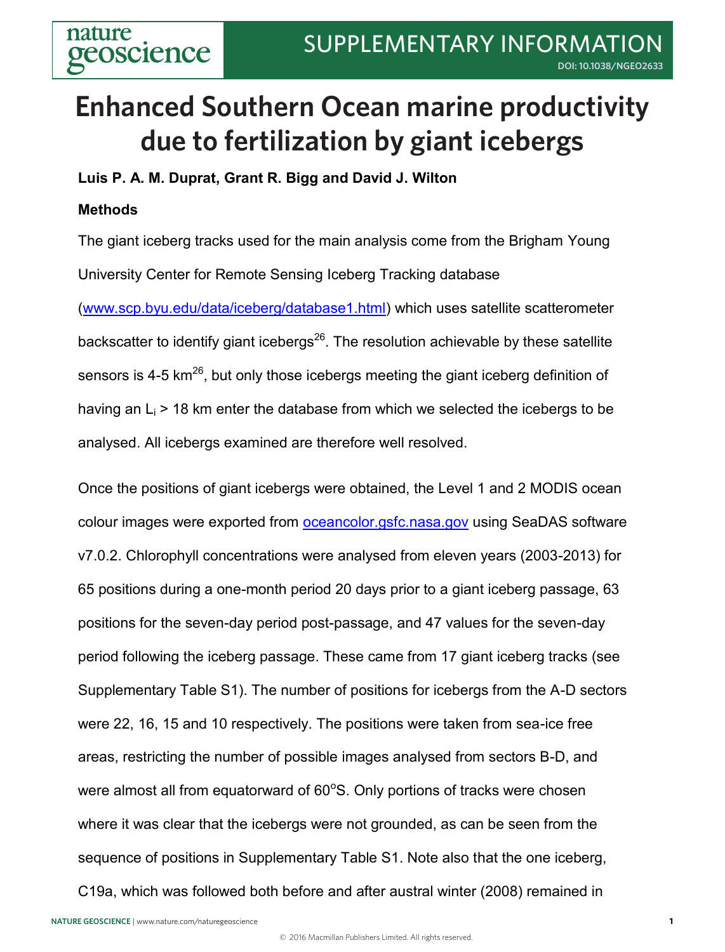**Supplementary Information - Methods**

## **due to fertilization by giant icebergs Enhanced Southern Ocean marine productivity**

**Luis P. A. M. Duprat, Grant R. Bigg and David J. Wilton** 

### **Methods**

The giant iceberg tracks used for the main analysis come from the Brigham Young University Center for Remote Sensing Iceberg Tracking database

(www.scp.byu.edu/data/iceberg/database1.html) which uses satellite scatterometer backscatter to identify giant icebergs<sup>26</sup>. The resolution achievable by these satellite sensors is 4-5  $km<sup>26</sup>$ , but only those icebergs meeting the giant iceberg definition of having an  $L_i$  > 18 km enter the database from which we selected the icebergs to be analysed. All icebergs examined are therefore well resolved.

Once the positions of giant icebergs were obtained, the Level 1 and 2 MODIS ocean colour images were exported from oceancolor.gsfc.nasa.gov using SeaDAS software v7.0.2. Chlorophyll concentrations were analysed from eleven years (2003-2013) for 65 positions during a one-month period 20 days prior to a giant iceberg passage, 63 positions for the seven-day period post-passage, and 47 values for the seven-day period following the iceberg passage. These came from 17 giant iceberg tracks (see Supplementary Table S1). The number of positions for icebergs from the A-D sectors were 22, 16, 15 and 10 respectively. The positions were taken from sea-ice free areas, restricting the number of possible images analysed from sectors B-D, and were almost all from equatorward of  $60^{\circ}$ S. Only portions of tracks were chosen where it was clear that the icebergs were not grounded, as can be seen from the sequence of positions in Supplementary Table S1. Note also that the one iceberg, C19a, which was followed both before and after austral winter (2008) remained in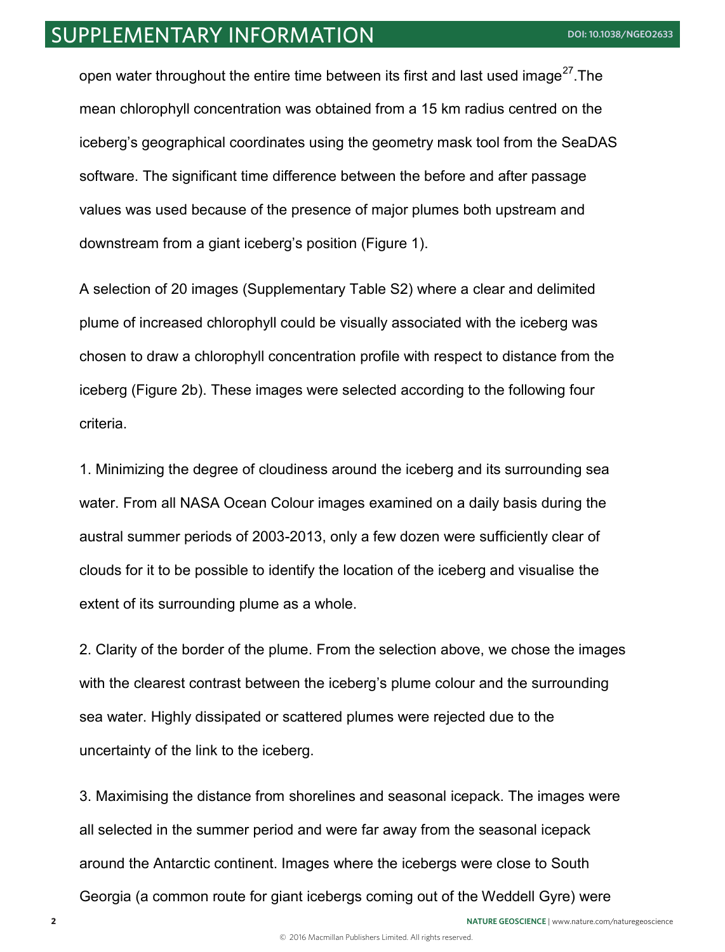### SUPPLEMENTARY INFORMATION **[DOI: 10.1038/NGEO2633](http://dx.doi.org/10.1038/ngeo2633)**

open water throughout the entire time between its first and last used image<sup>27</sup>. The mean chlorophyll concentration was obtained from a 15 km radius centred on the iceberg's geographical coordinates using the geometry mask tool from the SeaDAS software. The significant time difference between the before and after passage values was used because of the presence of major plumes both upstream and downstream from a giant iceberg's position (Figure 1).

A selection of 20 images (Supplementary Table S2) where a clear and delimited plume of increased chlorophyll could be visually associated with the iceberg was chosen to draw a chlorophyll concentration profile with respect to distance from the iceberg (Figure 2b). These images were selected according to the following four criteria.

1. Minimizing the degree of cloudiness around the iceberg and its surrounding sea water. From all NASA Ocean Colour images examined on a daily basis during the austral summer periods of 2003-2013, only a few dozen were sufficiently clear of clouds for it to be possible to identify the location of the iceberg and visualise the extent of its surrounding plume as a whole.

2. Clarity of the border of the plume. From the selection above, we chose the images with the clearest contrast between the iceberg's plume colour and the surrounding sea water. Highly dissipated or scattered plumes were rejected due to the uncertainty of the link to the iceberg.

3. Maximising the distance from shorelines and seasonal icepack. The images were all selected in the summer period and were far away from the seasonal icepack around the Antarctic continent. Images where the icebergs were close to South Georgia (a common route for giant icebergs coming out of the Weddell Gyre) were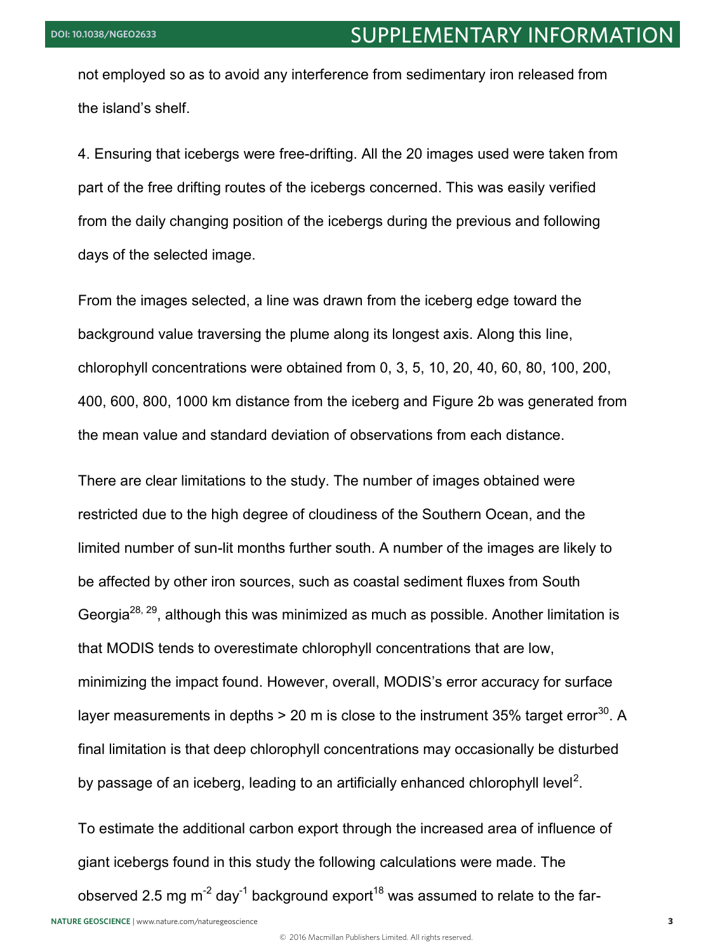not employed so as to avoid any interference from sedimentary iron released from the island's shelf.

4. Ensuring that icebergs were free-drifting. All the 20 images used were taken from part of the free drifting routes of the icebergs concerned. This was easily verified from the daily changing position of the icebergs during the previous and following days of the selected image.

From the images selected, a line was drawn from the iceberg edge toward the background value traversing the plume along its longest axis. Along this line, chlorophyll concentrations were obtained from 0, 3, 5, 10, 20, 40, 60, 80, 100, 200, 400, 600, 800, 1000 km distance from the iceberg and Figure 2b was generated from the mean value and standard deviation of observations from each distance.

There are clear limitations to the study. The number of images obtained were restricted due to the high degree of cloudiness of the Southern Ocean, and the limited number of sun-lit months further south. A number of the images are likely to be affected by other iron sources, such as coastal sediment fluxes from South Georgia<sup>28, 29</sup>, although this was minimized as much as possible. Another limitation is that MODIS tends to overestimate chlorophyll concentrations that are low, minimizing the impact found. However, overall, MODIS's error accuracy for surface layer measurements in depths  $> 20$  m is close to the instrument 35% target error<sup>30</sup>. A final limitation is that deep chlorophyll concentrations may occasionally be disturbed by passage of an iceberg, leading to an artificially enhanced chlorophyll level<sup>2</sup>.

To estimate the additional carbon export through the increased area of influence of giant icebergs found in this study the following calculations were made. The

observed 2.5 mg  $m^{-2}$  day<sup>-1</sup> background export<sup>18</sup> was assumed to relate to the far-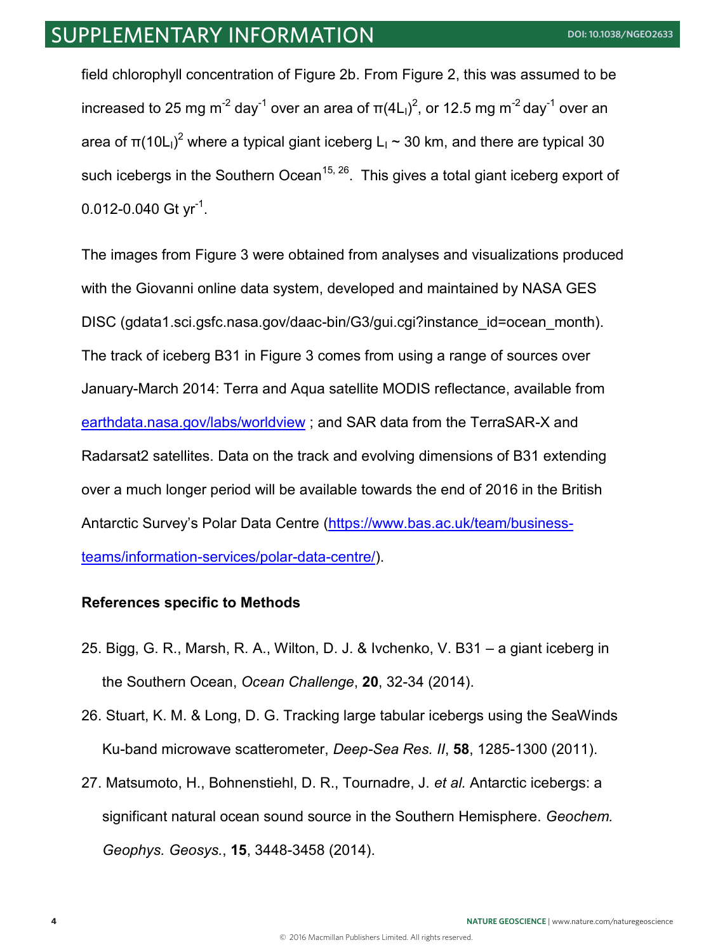field chlorophyll concentration of Figure 2b. From Figure 2, this was assumed to be increased to 25 mg m $^{-2}$  day $^{-1}$  over an area of  $\pi$ (4L<sub>I</sub>)<sup>2</sup>, or 12.5 mg m $^{-2}$  day $^{-1}$  over an area of π(10L<sub>I</sub>)<sup>2</sup> where a typical giant iceberg L<sub>I</sub> ~ 30 km, and there are typical 30 such icebergs in the Southern Ocean<sup>15, 26</sup>. This gives a total giant iceberg export of 0.012-0.040 Gt  $yr^{-1}$ .

The images from Figure 3 were obtained from analyses and visualizations produced with the Giovanni online data system, developed and maintained by NASA GES DISC (gdata1.sci.gsfc.nasa.gov/daac-bin/G3/gui.cgi?instance\_id=ocean\_month). The track of iceberg B31 in Figure 3 comes from using a range of sources over January-March 2014: Terra and Aqua satellite MODIS reflectance, available from earthdata.nasa.gov/labs/worldview ; and SAR data from the TerraSAR-X and Radarsat2 satellites. Data on the track and evolving dimensions of B31 extending over a much longer period will be available towards the end of 2016 in the British Antarctic Survey's Polar Data Centre (https://www.bas.ac.uk/team/businessteams/information-services/polar-data-centre/).

#### **References specific to Methods**

- 25. Bigg, G. R., Marsh, R. A., Wilton, D. J. & Ivchenko, V. B31 a giant iceberg in the Southern Ocean, *Ocean Challenge*, **20**, 32-34 (2014).
- 26. Stuart, K. M. & Long, D. G. Tracking large tabular icebergs using the SeaWinds Ku-band microwave scatterometer, *Deep-Sea Res. II*, **58**, 1285-1300 (2011).
- 27. Matsumoto, H., Bohnenstiehl, D. R., Tournadre, J. *et al.* Antarctic icebergs: a significant natural ocean sound source in the Southern Hemisphere. *Geochem. Geophys. Geosys.*, **15**, 3448-3458 (2014).